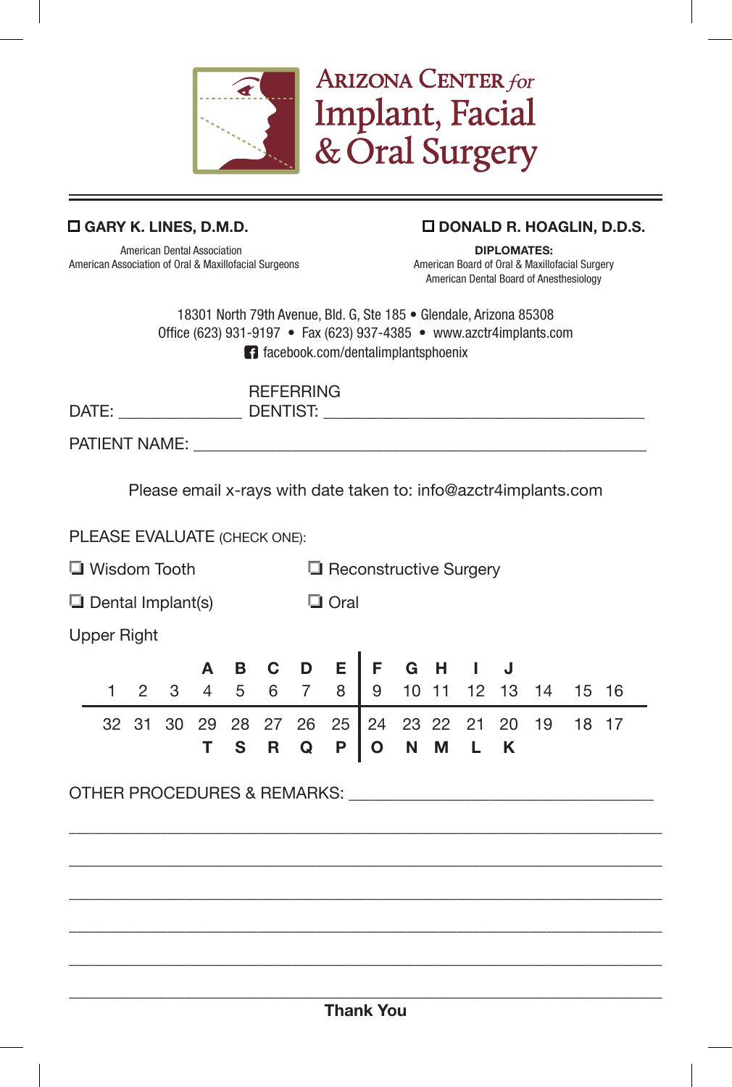

## o **GARY K. LINES, D.M.D.** o **DONALD R. HOAGLIN, D.D.S.**

American Dental Association **DIPLOMATES:** American Association of Oral & Maxillofacial Surgeons

American Dental Board of Anesthesiology

18301 North 79th Avenue, Bld. G, Ste 185 • Glendale, Arizona 85308 Office (623) 931-9197 • Fax (623) 937-4385 • www.azctr4implants.com facebook.com/dentalimplantsphoenix

**ARIZONA CENTER for** 

Implant, Facial

& Oral Surgery

| DATE:         | <b>REFERRING</b><br>DENTIST: |
|---------------|------------------------------|
| PATIENT NAME: |                              |

Please email x-rays with date taken to: info@azctr4implants.com

PLEASE EVALUATE (CHECK ONE):

 $\Box$  Wisdom Tooth  $\Box$  Reconstructive Surgery

 $\Box$  Dental Implant(s)  $\Box$  Oral

Upper Right

|  |  |  |  | A B C D E F G H I J |  |  |  |                                                 |  |
|--|--|--|--|---------------------|--|--|--|-------------------------------------------------|--|
|  |  |  |  |                     |  |  |  | 1 2 3 4 5 6 7 8 9 10 11 12 13 14 15 16          |  |
|  |  |  |  | T S R Q P O N M L K |  |  |  | 32 31 30 29 28 27 26 25 24 23 22 21 20 19 18 17 |  |

 $\mathcal{L}_\text{max}$  and  $\mathcal{L}_\text{max}$  and  $\mathcal{L}_\text{max}$  and  $\mathcal{L}_\text{max}$  and  $\mathcal{L}_\text{max}$  and  $\mathcal{L}_\text{max}$ 

\_\_\_\_\_\_\_\_\_\_\_\_\_\_\_\_\_\_\_\_\_\_\_\_\_\_\_\_\_\_\_\_\_\_\_\_\_\_\_\_\_\_\_\_\_\_\_\_\_\_\_\_\_\_\_\_\_\_\_\_\_\_\_\_\_\_\_\_\_\_\_\_  $\mathcal{L}_\text{max}$  and  $\mathcal{L}_\text{max}$  and  $\mathcal{L}_\text{max}$  and  $\mathcal{L}_\text{max}$  and  $\mathcal{L}_\text{max}$  and  $\mathcal{L}_\text{max}$ 

 $\mathcal{L}_\text{max}$  and  $\mathcal{L}_\text{max}$  and  $\mathcal{L}_\text{max}$  and  $\mathcal{L}_\text{max}$  and  $\mathcal{L}_\text{max}$  and  $\mathcal{L}_\text{max}$ 

\_\_\_\_\_\_\_\_\_\_\_\_\_\_\_\_\_\_\_\_\_\_\_\_\_\_\_\_\_\_\_\_\_\_\_\_\_\_\_\_\_\_\_\_\_\_\_\_\_\_\_\_\_\_\_\_\_\_\_\_\_\_\_\_\_\_\_\_\_\_\_\_

OTHER PROCEDURES & REMARKS: